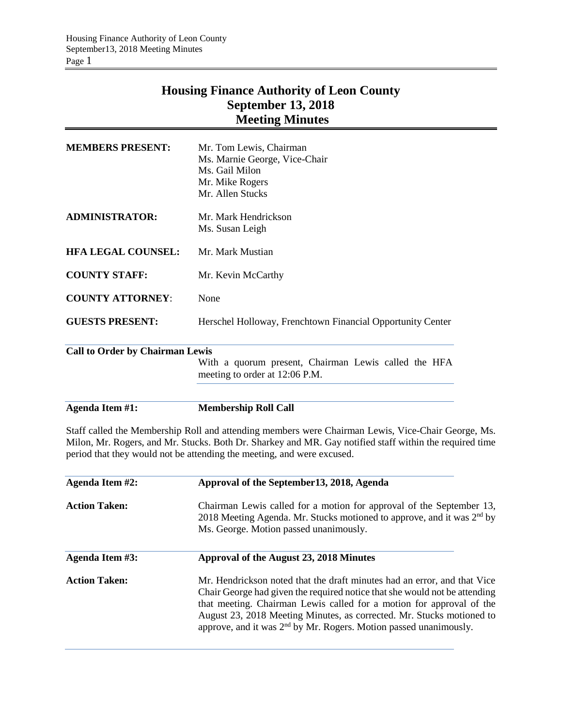## **Housing Finance Authority of Leon County September 13, 2018 Meeting Minutes**

| <b>MEMBERS PRESENT:</b>                | Mr. Tom Lewis, Chairman<br>Ms. Marnie George, Vice-Chair<br>Ms. Gail Milon<br>Mr. Mike Rogers |
|----------------------------------------|-----------------------------------------------------------------------------------------------|
| <b>ADMINISTRATOR:</b>                  | Mr. Allen Stucks<br>Mr. Mark Hendrickson                                                      |
|                                        | Ms. Susan Leigh                                                                               |
| <b>HFA LEGAL COUNSEL:</b>              | Mr. Mark Mustian                                                                              |
| <b>COUNTY STAFF:</b>                   | Mr. Kevin McCarthy                                                                            |
| <b>COUNTY ATTORNEY:</b>                | None                                                                                          |
| <b>GUESTS PRESENT:</b>                 | Herschel Holloway, Frenchtown Financial Opportunity Center                                    |
| <b>Call to Order by Chairman Lewis</b> |                                                                                               |
|                                        | With a quorum present, Chairman Lewis called the HFA<br>meeting to order at 12:06 P.M.        |

**Agenda Item #1: Membership Roll Call**

Staff called the Membership Roll and attending members were Chairman Lewis, Vice-Chair George, Ms. Milon, Mr. Rogers, and Mr. Stucks. Both Dr. Sharkey and MR. Gay notified staff within the required time period that they would not be attending the meeting, and were excused.

| Agenda Item #2:      | Approval of the September 13, 2018, Agenda                                                                                                                                                                                                                                                                                                                                               |  |  |  |  |
|----------------------|------------------------------------------------------------------------------------------------------------------------------------------------------------------------------------------------------------------------------------------------------------------------------------------------------------------------------------------------------------------------------------------|--|--|--|--|
| <b>Action Taken:</b> | Chairman Lewis called for a motion for approval of the September 13,<br>2018 Meeting Agenda. Mr. Stucks motioned to approve, and it was 2 <sup>nd</sup> by<br>Ms. George. Motion passed unanimously.                                                                                                                                                                                     |  |  |  |  |
| Agenda Item #3:      | Approval of the August 23, 2018 Minutes                                                                                                                                                                                                                                                                                                                                                  |  |  |  |  |
| <b>Action Taken:</b> | Mr. Hendrickson noted that the draft minutes had an error, and that Vice<br>Chair George had given the required notice that she would not be attending<br>that meeting. Chairman Lewis called for a motion for approval of the<br>August 23, 2018 Meeting Minutes, as corrected. Mr. Stucks motioned to<br>approve, and it was 2 <sup>nd</sup> by Mr. Rogers. Motion passed unanimously. |  |  |  |  |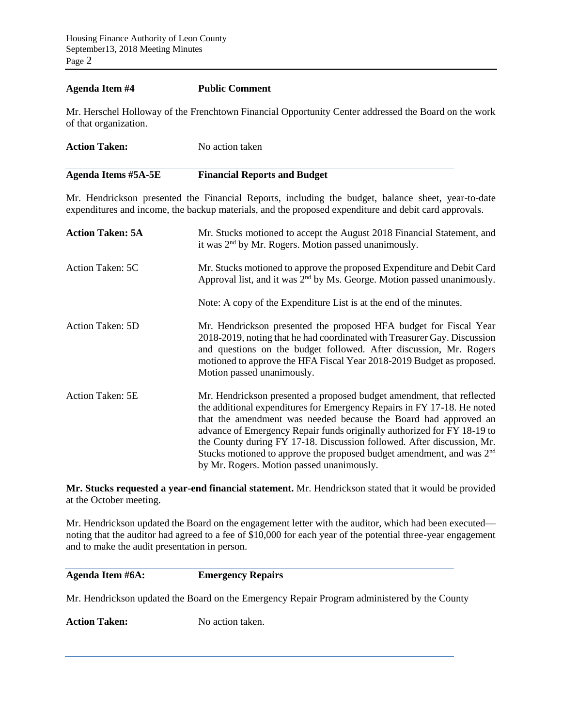## **Agenda Item #4 Public Comment**

Mr. Herschel Holloway of the Frenchtown Financial Opportunity Center addressed the Board on the work of that organization.

| <b>Agenda Items #5A-5E</b> | <b>Financial Reports and Budget</b> |  |
|----------------------------|-------------------------------------|--|
|                            |                                     |  |
| <b>Action Taken:</b>       | No action taken                     |  |

Mr. Hendrickson presented the Financial Reports, including the budget, balance sheet, year-to-date expenditures and income, the backup materials, and the proposed expenditure and debit card approvals.

| <b>Action Taken: 5A</b> | Mr. Stucks motioned to accept the August 2018 Financial Statement, and<br>it was 2 <sup>nd</sup> by Mr. Rogers. Motion passed unanimously.                                                                                                                                                                                                                                                                                                                                                                 |
|-------------------------|------------------------------------------------------------------------------------------------------------------------------------------------------------------------------------------------------------------------------------------------------------------------------------------------------------------------------------------------------------------------------------------------------------------------------------------------------------------------------------------------------------|
| Action Taken: 5C        | Mr. Stucks motioned to approve the proposed Expenditure and Debit Card<br>Approval list, and it was 2 <sup>nd</sup> by Ms. George. Motion passed unanimously.                                                                                                                                                                                                                                                                                                                                              |
|                         | Note: A copy of the Expenditure List is at the end of the minutes.                                                                                                                                                                                                                                                                                                                                                                                                                                         |
| Action Taken: 5D        | Mr. Hendrickson presented the proposed HFA budget for Fiscal Year<br>2018-2019, noting that he had coordinated with Treasurer Gay. Discussion<br>and questions on the budget followed. After discussion, Mr. Rogers<br>motioned to approve the HFA Fiscal Year 2018-2019 Budget as proposed.<br>Motion passed unanimously.                                                                                                                                                                                 |
| Action Taken: 5E        | Mr. Hendrickson presented a proposed budget amendment, that reflected<br>the additional expenditures for Emergency Repairs in FY 17-18. He noted<br>that the amendment was needed because the Board had approved an<br>advance of Emergency Repair funds originally authorized for FY 18-19 to<br>the County during FY 17-18. Discussion followed. After discussion, Mr.<br>Stucks motioned to approve the proposed budget amendment, and was 2 <sup>nd</sup><br>by Mr. Rogers. Motion passed unanimously. |

**Mr. Stucks requested a year-end financial statement.** Mr. Hendrickson stated that it would be provided at the October meeting.

Mr. Hendrickson updated the Board on the engagement letter with the auditor, which had been executed noting that the auditor had agreed to a fee of \$10,000 for each year of the potential three-year engagement and to make the audit presentation in person.

**Agenda Item #6A: Emergency Repairs**

Mr. Hendrickson updated the Board on the Emergency Repair Program administered by the County

Action Taken: No action taken.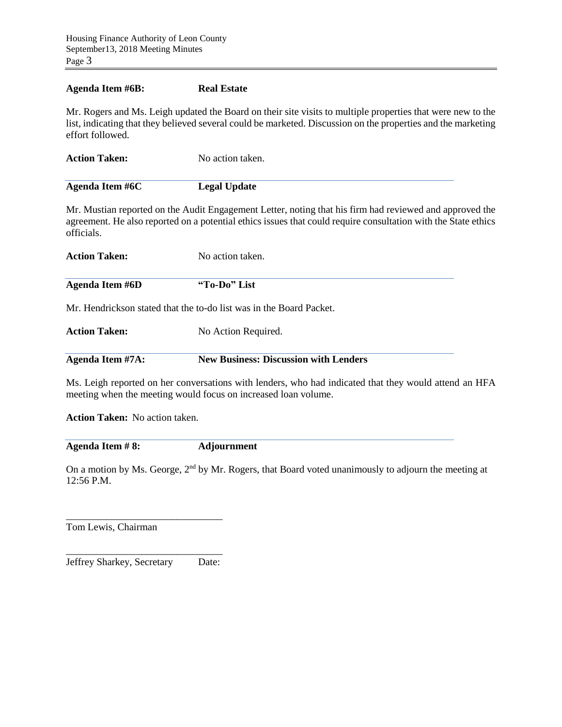## **Agenda Item #6B: Real Estate**

Mr. Rogers and Ms. Leigh updated the Board on their site visits to multiple properties that were new to the list, indicating that they believed several could be marketed. Discussion on the properties and the marketing effort followed.

| <b>Action Taken:</b> | No action taken.    |  |  |
|----------------------|---------------------|--|--|
|                      |                     |  |  |
| Agenda Item #6C      | <b>Legal Update</b> |  |  |

Mr. Mustian reported on the Audit Engagement Letter, noting that his firm had reviewed and approved the agreement. He also reported on a potential ethics issues that could require consultation with the State ethics officials.

| <b>Action Taken:</b> | No action taken.                            |  |  |
|----------------------|---------------------------------------------|--|--|
| Agenda Item #6D      | "To-Do" List                                |  |  |
|                      | 17 TT 111 . 11 . 11 . 11 . 11 . 11 TO 1 . 1 |  |  |

Mr. Hendrickson stated that the to-do list was in the Board Packet.

| <b>Action Taken:</b> | No Action Required. |
|----------------------|---------------------|
|                      |                     |

**Agenda Item #7A: New Business: Discussion with Lenders**

Ms. Leigh reported on her conversations with lenders, who had indicated that they would attend an HFA meeting when the meeting would focus on increased loan volume.

**Action Taken:** No action taken.

**Agenda Item # 8: Adjournment**

On a motion by Ms. George, 2<sup>nd</sup> by Mr. Rogers, that Board voted unanimously to adjourn the meeting at 12:56 P.M.

Tom Lewis, Chairman

\_\_\_\_\_\_\_\_\_\_\_\_\_\_\_\_\_\_\_\_\_\_\_\_\_\_\_\_\_\_\_ Jeffrey Sharkey, Secretary Date:

\_\_\_\_\_\_\_\_\_\_\_\_\_\_\_\_\_\_\_\_\_\_\_\_\_\_\_\_\_\_\_